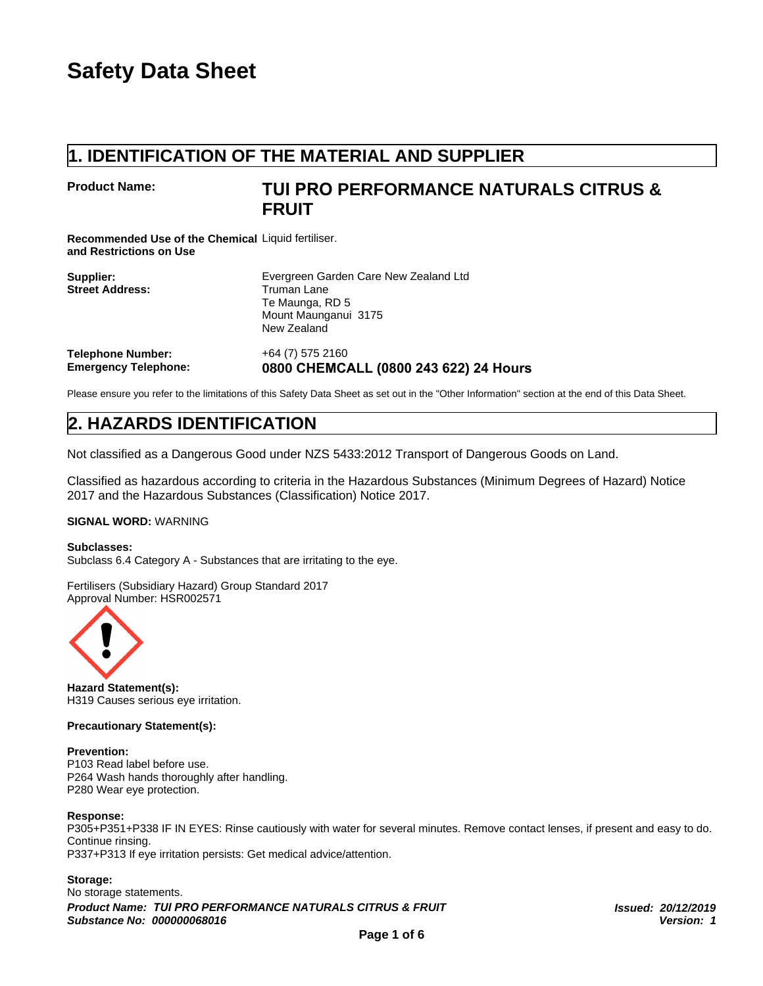## **Product Name:**

# **1. IDENTIFICATION OF THE MATERIAL AND SUPPLIER<br>1. IDENTIFICATION OF THE MATERIAL AND SUPPLIER<br>FROM PERFORMANCE NATURALS CITRUS &<br>FRUIT TUI PRO PERFORMANCE NATURALS CITRUS & FRUIT**

|                                                                               | 1. IDENTIFICATION OF THE MATERIAL AND SUPPLIER                                                                        |
|-------------------------------------------------------------------------------|-----------------------------------------------------------------------------------------------------------------------|
| <b>Product Name:</b>                                                          | TUI PRO PERFORMANCE NATURAI<br><b>FRUIT</b>                                                                           |
| Recommended Use of the Chemical Liquid fertiliser.<br>and Restrictions on Use |                                                                                                                       |
| Supplier:<br><b>Street Address:</b>                                           | Evergreen Garden Care New Zealand Ltd<br><b>Truman Lane</b><br>Te Maunga, RD 5<br>Mount Maunganui 3175<br>New Zealand |
| <b>Telephone Number:</b><br><b>Emergency Telephone:</b>                       | +64 (7) 575 2160<br>0800 CHEMCALL (0800 243 622) 24 Hours                                                             |
|                                                                               | Please ensure you refer to the limitations of this Safety Data Sheet as set out in the "Other Information" section    |
| <b>2. HAZARDS IDENTIFICATION</b>                                              |                                                                                                                       |
|                                                                               | Not classified as a Dangerous Good under NZS 5433:2012 Transport of Dangerous Good                                    |
| 2017 and the Hazardous Substances (Classification) Notice 2017                | Classified as hazardous according to criteria in the Hazardous Substances (Minimum De                                 |

Please ensure you refer to the limitations of this Safety Data Sheet as set out in the "Other Information" section at the end of this Data Sheet.

Not classified as a Dangerous Good under NZS 5433:2012 Transport of Dangerous Goods on Land.

Classified as hazardous according to criteria in the Hazardous Substances (Minimum Degrees of Hazard) Notice 2017 and the Hazardous Substances (Classification) Notice 2017.

## **SIGNAL WORD:** WARNING

**Subclasses:** Subclass 6.4 Category A - Substances that are irritating to the eye.

Fertilisers (Subsidiary Hazard) Group Standard 2017 Approval Number: HSR002571



**Hazard Statement(s):** H319 Causes serious eye irritation.

## **Precautionary Statement(s):**

## **Prevention:**

P103 Read label before use. P264 Wash hands thoroughly after handling. P280 Wear eye protection.

## **Response:**

P305+P351+P338 IF IN EYES: Rinse cautiously with water for several minutes. Remove contact lenses, if present and easy to do. Continue rinsing. P337+P313 If eye irritation persists: Get medical advice/attention.

## **Storage:**

No storage statements. *Product Name: TUI PRO PERFORMANCE NATURALS CITRUS & FRUIT Issued: 20/12/2019 Substance No: 000000068016 Version: 1*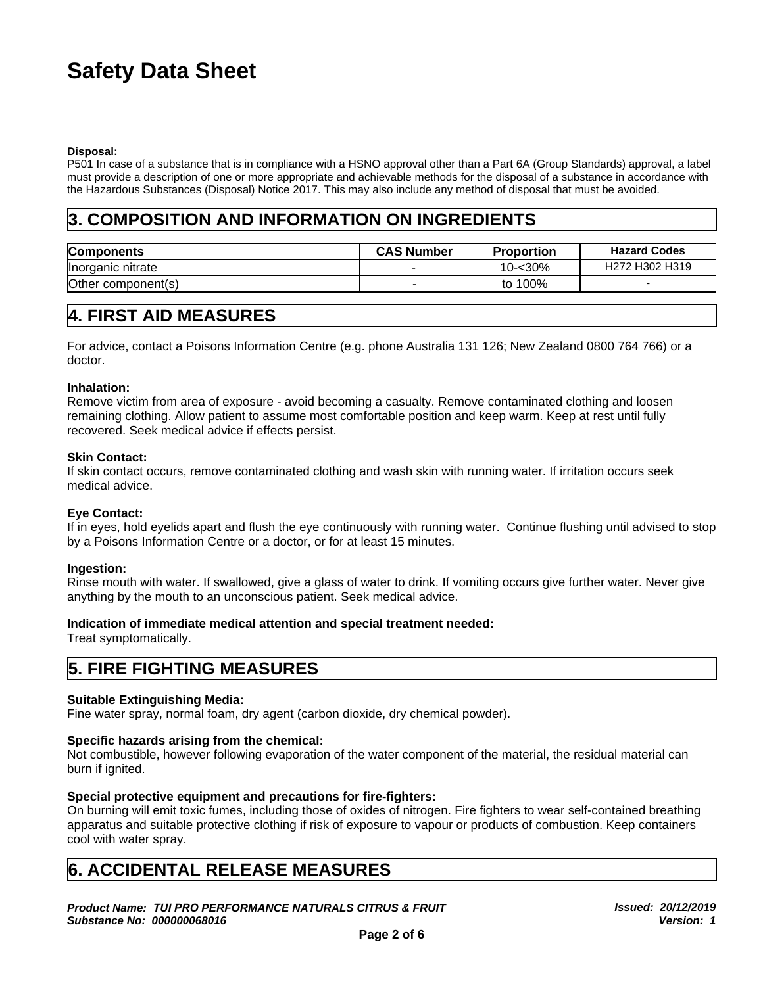## **Disposal:**

## **3. COMPOSITION AND INFORMATION ON INGREDIENTS**

| <b>Safety Data Sheet</b>                                                                                                                                                                                                                                                                                                                                                                                                                                |                   |                   |                                                    |
|---------------------------------------------------------------------------------------------------------------------------------------------------------------------------------------------------------------------------------------------------------------------------------------------------------------------------------------------------------------------------------------------------------------------------------------------------------|-------------------|-------------------|----------------------------------------------------|
|                                                                                                                                                                                                                                                                                                                                                                                                                                                         |                   |                   |                                                    |
| Disposal:<br>P501 In case of a substance that is in compliance with a HSNO approval other than a Part 6A (Group Standards) approval, a label<br>must provide a description of one or more appropriate and achievable methods for the disposal of a substance in accordance with<br>the Hazardous Substances (Disposal) Notice 2017. This may also include any method of disposal that must be avoided.<br>3. COMPOSITION AND INFORMATION ON INGREDIENTS |                   |                   |                                                    |
| <b>Components</b>                                                                                                                                                                                                                                                                                                                                                                                                                                       | <b>CAS Number</b> | <b>Proportion</b> | <b>Hazard Codes</b>                                |
| Inorganic nitrate                                                                                                                                                                                                                                                                                                                                                                                                                                       |                   | $10 - 30%$        | H <sub>272</sub> H <sub>302</sub> H <sub>319</sub> |
|                                                                                                                                                                                                                                                                                                                                                                                                                                                         |                   |                   |                                                    |

## **Inhalation:**

Remove victim from area of exposure - avoid becoming a casualty. Remove contaminated clothing and loosen remaining clothing. Allow patient to assume most comfortable position and keep warm. Keep at rest until fully recovered. Seek medical advice if effects persist. Remove victim from area of exposure - avoid becoming a casualty. Remove contamining coltring, Allow patient to assume most comfortable position and keep warm<br>recovered. Seek medical advice if effects persist.<br>**Skin Contact** 

## **Skin Contact:**

If skin contact occurs, remove contaminated clothing and wash skin with running water. If irritation occurs seek medical advice.

## **Eye Contact:**

If in eyes, hold eyelids apart and flush the eye continuously with running water. Continue flushing until advised to stop by a Poisons Information Centre or a doctor, or for at least 15 minutes.

## **Ingestion:**

Rinse mouth with water. If swallowed, give a glass of water to drink. If vomiting occurs give further water. Never give anything by the mouth to an unconscious patient. Seek medical advice.

## **Indication of immediate medical attention and special treatment needed:**

Treat symptomatically.

## **Suitable Extinguishing Media:**

Fine water spray, normal foam, dry agent (carbon dioxide, dry chemical powder).

## **Specific hazards arising from the chemical:**

Not combustible, however following evaporation of the water component of the material, the residual material can burn if ignited.

## **Special protective equipment and precautions for fire-fighters:**

On burning will emit toxic fumes, including those of oxides of nitrogen. Fire fighters to wear self-contained breathing apparatus and suitable protective clothing if risk of exposure to vapour or products of combustion. Keep containers cool with water spray. **EXERCTMENT IN THE CONDUCT CONDUCT CONDUCT CONDUCT CONDUCT CONDUCT CONDUCT CONDUCT CONDUCT CONDUCT CONDUCT CONDUCT CONDUCT CONDUCT CONDUCT CONDUCT CONDUCT CONDUCT CONDUCT CONDUCT CONDUCT CONDUCT CONDUCT CONDUCT CONDUCT CON** 

*Product Name: TUI PRO PERFORMANCE NATURALS CITRUS & FRUIT Substance No: 000000068016*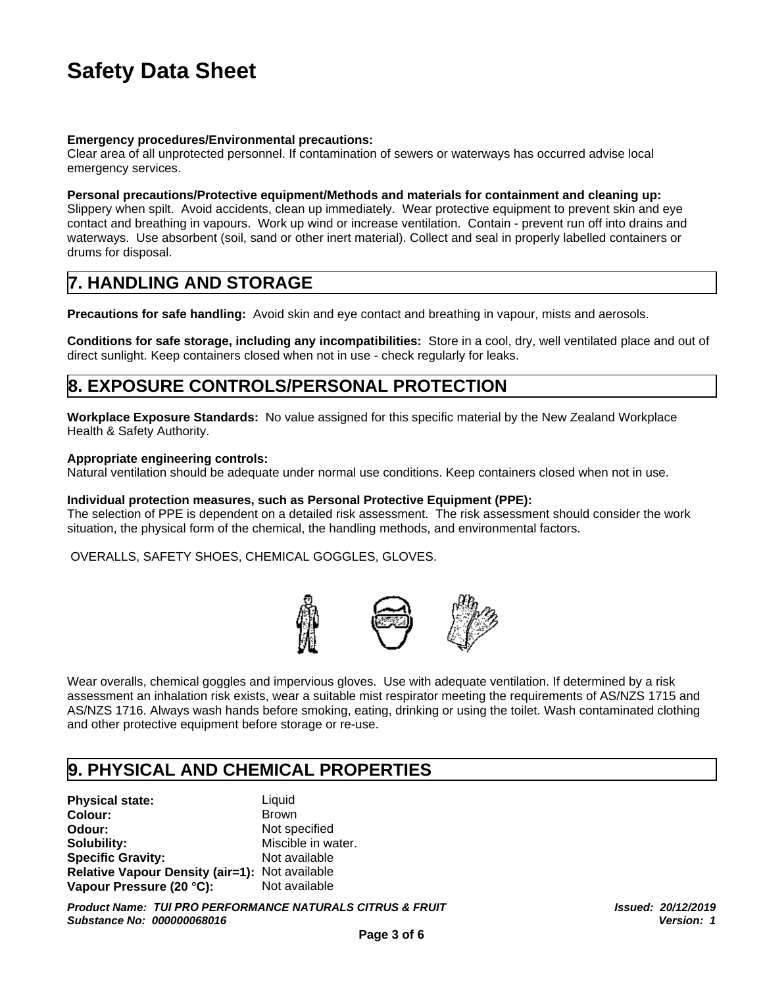## **Emergency procedures/Environmental precautions:**

Clear area of all unprotected personnel. If contamination of sewers or waterways has occurred advise local emergency services.

## **Personal precautions/Protective equipment/Methods and materials for containment and cleaning up:**

Slippery when spilt. Avoid accidents, clean up immediately. Wear protective equipment to prevent skin and eye contact and breathing in vapours. Work up wind or increase ventilation. Contain - prevent run off into drains and waterways. Use absorbent (soil, sand or other inert material). Collect and seal in properly labelled containers or drums for disposal. **Safety Data Sheet**<br> **Safety Data Sheet**<br> **Emergency procedures/Environmental precautions:**<br>
Clear area of all unprotected personnel. If contamination of sewers or waterways has<br>
emergency services.<br> **Personal precautions/ Emergency procedures/Environmental precautions:**<br>Clear area of all unprotected personnel. If contamination of sewers or waterways has occurred advise local<br>emergency services.<br>**Personal precautions/Protective equipment/Me** 

**Precautions for safe handling:** Avoid skin and eye contact and breathing in vapour, mists and aerosols.

**Conditions for safe storage, including any incompatibilities:** Store in a cool, dry, well ventilated place and out of direct sunlight. Keep containers closed when not in use - check regularly for leaks.

**Workplace Exposure Standards:** No value assigned for this specific material by the New Zealand Workplace Health & Safety Authority.

## **Appropriate engineering controls:**

Natural ventilation should be adequate under normal use conditions. Keep containers closed when not in use.

## **Individual protection measures, such as Personal Protective Equipment (PPE):**

The selection of PPE is dependent on a detailed risk assessment. The risk assessment should consider the work situation, the physical form of the chemical, the handling methods, and environmental factors.

OVERALLS, SAFETY SHOES, CHEMICAL GOGGLES, GLOVES.



Wear overalls, chemical goggles and impervious gloves. Use with adequate ventilation. If determined by a risk assessment an inhalation risk exists, wear a suitable mist respirator meeting the requirements of AS/NZS 1715 and AS/NZS 1716. Always wash hands before smoking, eating, drinking or using the toilet. Wash contaminated clothing and other protective equipment before storage or re-use. **Individual protection measures, such as Personal Protective Equipment (PPE):**<br>The selection of PPE is dependent on a detailed risk assessment. The risk assessment should consider the<br>situation, the physical form of the ch

**Physical state:** Liquid **Colour:** Brown **Odour:** Not specified **Solubility:** Miscible in water. **Specific Gravity:** Not available **Relative Vapour Density (air=1):** Not available **Vapour Pressure (20 °C):** Not available

*Product Name: TUI PRO PERFORMANCE NATURALS CITRUS & FRUIT Substance No: 000000068016*

*Issued: 20/12/2019 Version: 1*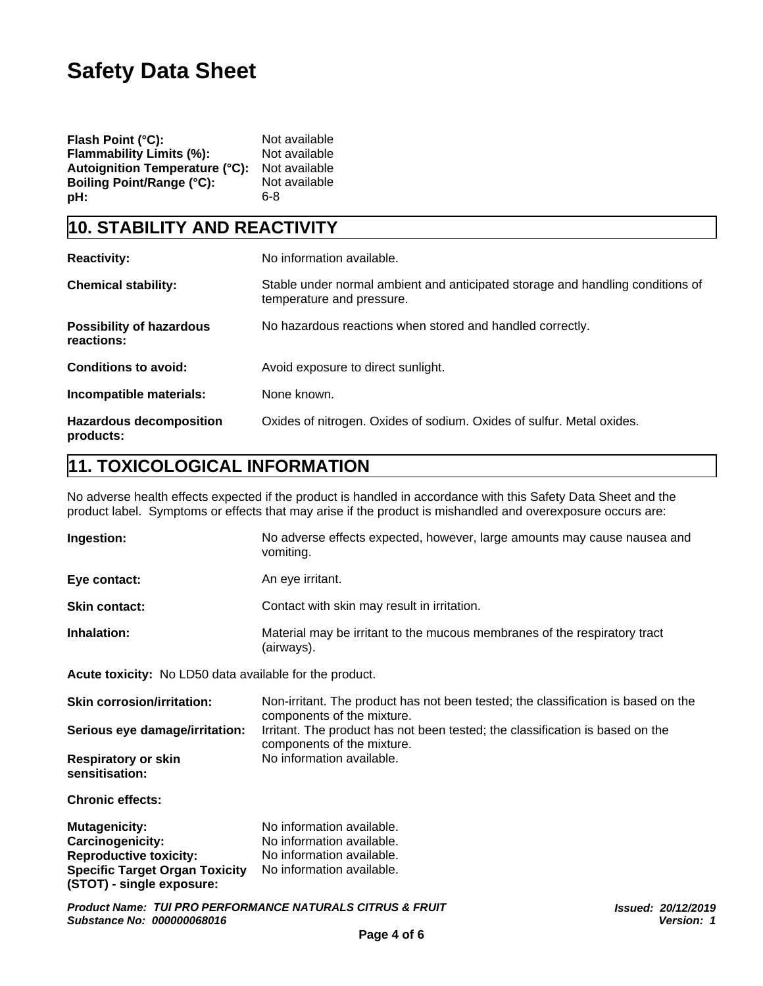| Flash Point (°C):                | Not available |
|----------------------------------|---------------|
| <b>Flammability Limits (%):</b>  | Not available |
| Autoignition Temperature (°C):   | Not available |
| <b>Boiling Point/Range (°C):</b> | Not available |
| pH:                              | 6-8           |

| <b>Safety Data Sheet</b>                                                                                                          |                                                                                                                                                                                                                               |
|-----------------------------------------------------------------------------------------------------------------------------------|-------------------------------------------------------------------------------------------------------------------------------------------------------------------------------------------------------------------------------|
| Flash Point (°C):<br>Flammability Limits (%):<br><b>Autoignition Temperature (°C):</b><br><b>Boiling Point/Range (°C):</b><br>pH: | Not available<br>Not available<br>Not available<br>Not available<br>$6 - 8$                                                                                                                                                   |
| 10. STABILITY AND REACTIVITY                                                                                                      |                                                                                                                                                                                                                               |
| <b>Reactivity:</b>                                                                                                                | No information available.                                                                                                                                                                                                     |
| <b>Chemical stability:</b>                                                                                                        | Stable under normal ambient and anticipated storage and handling conditions of<br>temperature and pressure.                                                                                                                   |
| <b>Possibility of hazardous</b><br>reactions:                                                                                     | No hazardous reactions when stored and handled correctly.                                                                                                                                                                     |
| <b>Conditions to avoid:</b>                                                                                                       | Avoid exposure to direct sunlight.                                                                                                                                                                                            |
| Incompatible materials:                                                                                                           | None known.                                                                                                                                                                                                                   |
| <b>Hazardous decomposition</b><br>products:                                                                                       | Oxides of nitrogen. Oxides of sodium. Oxides of sulfur. Metal oxides.                                                                                                                                                         |
| 11. TOXICOLOGICAL INFORMATION                                                                                                     |                                                                                                                                                                                                                               |
|                                                                                                                                   | No adverse health effects expected if the product is handled in accordance with this Safety Data Sheet and the<br>product label. Symptoms or effects that may arise if the product is mishandled and overexposure occurs are: |
| <b>Indection:</b>                                                                                                                 | No advarge effects expected between lerge emeupts may cause peugeo and                                                                                                                                                        |

| Ingestion:           | No adverse effects expected, however, large amounts may cause nausea and<br>vomiting.   |
|----------------------|-----------------------------------------------------------------------------------------|
| Eye contact:         | An eye irritant.                                                                        |
| <b>Skin contact:</b> | Contact with skin may result in irritation.                                             |
| Inhalation:          | Material may be irritant to the mucous membranes of the respiratory tract<br>(airways). |

**Acute toxicity:** No LD50 data available for the product.

| <b>Skin corrosion/irritation:</b>            | Non-irritant. The product has not been tested; the classification is based on the<br>components of the mixture. |
|----------------------------------------------|-----------------------------------------------------------------------------------------------------------------|
| Serious eye damage/irritation:               | Irritant. The product has not been tested; the classification is based on the<br>components of the mixture.     |
| <b>Respiratory or skin</b><br>sensitisation: | No information available.                                                                                       |

**Chronic effects:**

| <b>Mutagenicity:</b>                  | No information available. |
|---------------------------------------|---------------------------|
| <b>Carcinogenicity:</b>               | No information available. |
| <b>Reproductive toxicity:</b>         | No information available. |
| <b>Specific Target Organ Toxicity</b> | No information available. |
| (STOT) - single exposure:             |                           |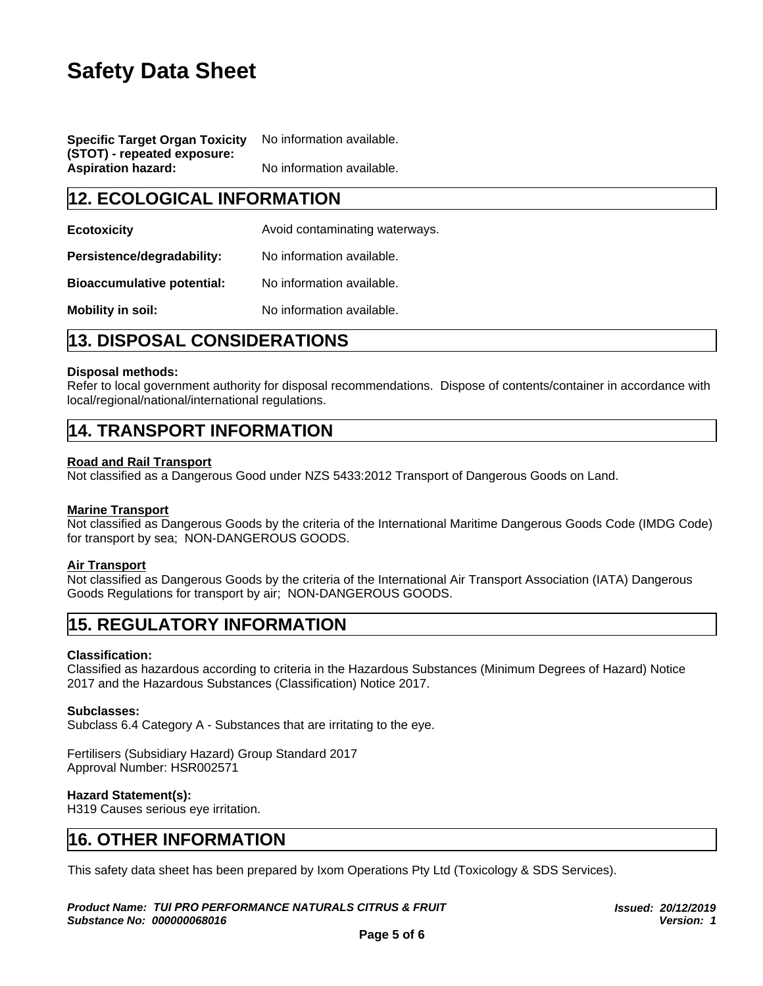| <b>Specific Target Organ Toxicity</b> | No information available. |
|---------------------------------------|---------------------------|
| (STOT) - repeated exposure:           |                           |
| <b>Aspiration hazard:</b>             | No information available. |

| <b>Safety Data Sheet</b>                                                                                                 |                                                                                             |  |
|--------------------------------------------------------------------------------------------------------------------------|---------------------------------------------------------------------------------------------|--|
|                                                                                                                          |                                                                                             |  |
|                                                                                                                          |                                                                                             |  |
| <b>Specific Target Organ Toxicity</b><br>(STOT) - repeated exposure:                                                     | No information available.                                                                   |  |
| <b>Aspiration hazard:</b>                                                                                                | No information available.                                                                   |  |
| <b>12. ECOLOGICAL INFORMATION</b>                                                                                        |                                                                                             |  |
| <b>Ecotoxicity</b>                                                                                                       | Avoid contaminating waterways.                                                              |  |
| Persistence/degradability:                                                                                               | No information available.                                                                   |  |
| <b>Bioaccumulative potential:</b>                                                                                        | No information available.                                                                   |  |
| <b>Mobility in soil:</b>                                                                                                 | No information available.                                                                   |  |
| <b>13. DISPOSAL CONSIDERATIONS</b>                                                                                       |                                                                                             |  |
| <b>Disposal methods:</b><br>local/regional/national/international regulations.                                           | Refer to local government authority for disposal recommendations. Dispose of contents/conta |  |
| <b>14. TRANSPORT INFORMATION</b>                                                                                         |                                                                                             |  |
| <b>Road and Rail Transport</b><br>Not classified as a Dangerous Good under NZS 5433:2012 Transport of Dangerous Goods or |                                                                                             |  |

## **Disposal methods:**

Refer to local government authority for disposal recommendations. Dispose of contents/container in accordance with local/regional/national/international regulations.

## **Road and Rail Transport**

Not classified as a Dangerous Good under NZS 5433:2012 Transport of Dangerous Goods on Land.

## **Marine Transport**

Not classified as Dangerous Goods by the criteria of the International Maritime Dangerous Goods Code (IMDG Code) for transport by sea; NON-DANGEROUS GOODS. **Disposal methods:**<br> **Refer to local government authority for disposal recommendations.** Dispose of contents/contain<br>
Read and Rail Transport<br> **14. TRANSPORT INFORMATION**<br> **Read and Rail Transport**<br>
Not classified as a Dan

## **Air Transport**

Not classified as Dangerous Goods by the criteria of the International Air Transport Association (IATA) Dangerous Goods Regulations for transport by air; NON-DANGEROUS GOODS. **AIT ITAINSPORE:**<br> **AIT ITAINSPORENT AIT CONDUCTS CONSTRESS IN A DISCREDIST CONSTREMATION**<br> **16. REGULATORY INFORMATION**<br> **15. REGULATORY INFORMATION**<br> **15. REGULATORY INFORMATION**<br> **Classified as hazardous according to cr** 

## **Classification:**

Classified as hazardous according to criteria in the Hazardous Substances (Minimum Degrees of Hazard) Notice 2017 and the Hazardous Substances (Classification) Notice 2017.

## **Subclasses:**

Subclass 6.4 Category A - Substances that are irritating to the eye.

## Fertilisers (Subsidiary Hazard) Group Standard 2017 Approval Number: HSR002571

## **Hazard Statement(s):**

H319 Causes serious eye irritation.

This safety data sheet has been prepared by Ixom Operations Pty Ltd (Toxicology & SDS Services).